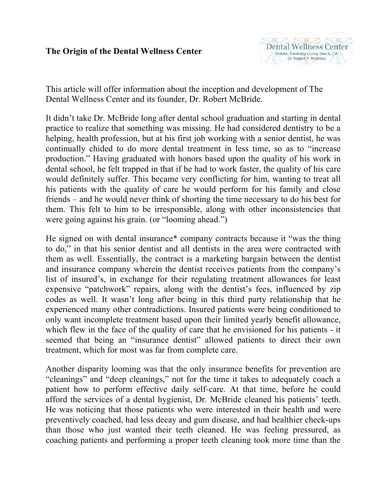## **The Origin of the Dental Wellness Center**



This article will offer information about the inception and development of The Dental Wellness Center and its founder, Dr. Robert McBride.

It didn't take Dr. McBride long after dental school graduation and starting in dental practice to realize that something was missing. He had considered dentistry to be a helping, health profession, but at his first job working with a senior dentist, he was continually chided to do more dental treatment in less time, so as to "increase production." Having graduated with honors based upon the quality of his work in dental school, he felt trapped in that if he had to work faster, the quality of his care would definitely suffer. This became very conflicting for him, wanting to treat all his patients with the quality of care he would perform for his family and close friends – and he would never think of shorting the time necessary to do his best for them. This felt to him to be irresponsible, along with other inconsistencies that were going against his grain. (or "looming ahead.")

He signed on with dental insurance\* company contracts because it "was the thing to do," in that his senior dentist and all dentists in the area were contracted with them as well. Essentially, the contract is a marketing bargain between the dentist and insurance company wherein the dentist receives patients from the company's list of insured's, in exchange for their regulating treatment allowances for least expensive "patchwork" repairs, along with the dentist's fees, influenced by zip codes as well. It wasn't long after being in this third party relationship that he experienced many other contradictions. Insured patients were being conditioned to only want incomplete treatment based upon their limited yearly benefit allowance, which flew in the face of the quality of care that he envisioned for his patients - it seemed that being an "insurance dentist" allowed patients to direct their own treatment, which for most was far from complete care.

Another disparity looming was that the only insurance benefits for prevention are "cleanings" and "deep cleanings," not for the time it takes to adequately coach a patient how to perform effective daily self-care. At that time, before he could afford the services of a dental hygienist, Dr. McBride cleaned his patients' teeth. He was noticing that those patients who were interested in their health and were preventively coached, had less decay and gum disease, and had healthier check-ups than those who just wanted their teeth cleaned. He was feeling pressured, as coaching patients and performing a proper teeth cleaning took more time than the